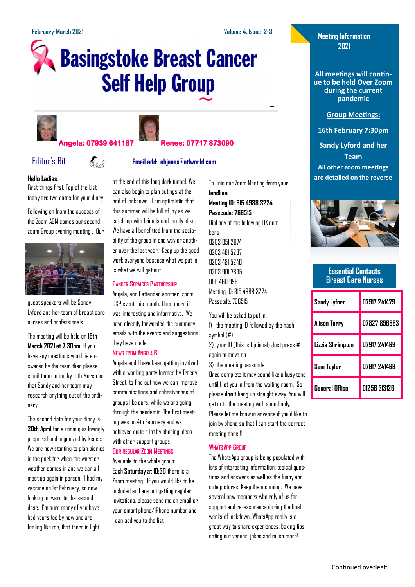# **Basingstoke Breast Cancer Self Help Group**





### **Angela: 07939 641187 Renee: 07717 873090**



## Editor's Bit **Email add: ehjanes@ntlworld.com**

#### **Hello Ladies**.

First things first. Top of the List today are two dates for your diary

Following on from the success of the Zoom AGM comes our second zoom Group evening meeting , Our



guest speakers will be Sandy Lyford and her team of breast care nurses and professionals.

The meeting will be held on **16th March 2021 at 7:30pm.** If you have any questions you'd lie answered by the team then please email them to me by 10th March so that Sandy and her team may research anything out of the ordinary.

The second date for your diary is **20th April** for a zoom quiz lovingly prepared and organized by Renee. We are now starting to plan picnics in the park for when the warmer weather comes in and we can all meet up again in person. I had my vaccine on 1st February, so now looking forward to the second dose. I'm sure many of you have had yours too by now and are feeling like me, that there is light

at the end of this long dark tunnel. We can also begin to plan outings at the end of lockdown. I am optimistic that this summer will be full of joy as we catch-up with friends and family alike. We have all benefitted from the sociability of the group in one way or another over the last year. Keep up the good work everyone because what we put in is what we will get out.

#### **CANCER SERVICES PARTNERSHIP**

Angela, and I attended another zoom CSP event this month. Once more it was interesting and informative. We have already forwarded the summary emails with the events and suggestions they have made.

#### **NEWS FROM ANGELA B**

Angela and I have been getting involved with a working party formed by Tracey Street, to find out how we can improve communications and cohesiveness of groups like ours, while we are going through the pandemic. The first meeting was on 4th February and we achieved quite a lot by sharing ideas with other support groups. **OUR REGULAR ZOOM MEETINGS**

Available to the whole group: Each **Saturday at 10:30** there is a Zoom meeting. If you would like to be included and are not getting regular invitations, please send me an email or your smart phone/iPhone number and I can add you to the list.

To Join our Zoom Meeting from your **landline: Meeting ID: 815 4988 3224**

**Passcode: 766515**

Dial any of the following UK numbers 0203 051 2874 0203 481 5237

0203 481 5240 0203 901 7895 0131 460 1196 Meeting ID: 815 4988 3224 Passcode: 766515

You will be asked to put in:

1) the meeting ID followed by the hash symbol (#)

2) your ID (This is Optional) Just press # again to move on

3) the meeting passcode

Once complete it may sound like a busy tone until I let you in from the waiting room. So please **don't**hang up straight away. You will get in to the meeting with sound only.

Please let me know in advance if you'd like to join by phone so that I can start the correct meeting code!!!

#### **WHATSAPP GROUP**

The WhatsApp group is being populated with lots of interesting information, topical questions and answers as well as the funny and cute pictures. Keep them coming. We have several new members who rely of us for support and re-assurance during the final weeks of lockdown. WhatsApp really is a great way to share experiences, baking tips, eating out venues, jokes and much more!

#### **Meeting Information 2021**

**All meetings will continue to be held Over Zoom during the current pandemic**

#### **Group Meetings:**

**16th February 7:30pm**

**Sandy Lyford and her Team All other zoom meetings are detailed on the reverse**



#### **Essential Contacts Breast Care Nurses**

| Sandy Lyford     | N7917 741479 |
|------------------|--------------|
| Alison Terry     | 07827 896883 |
| Lizzie Shrimpton | 07917 241469 |
| Sam Taylor       | 07917 241469 |
| General Office   | 01256 313126 |